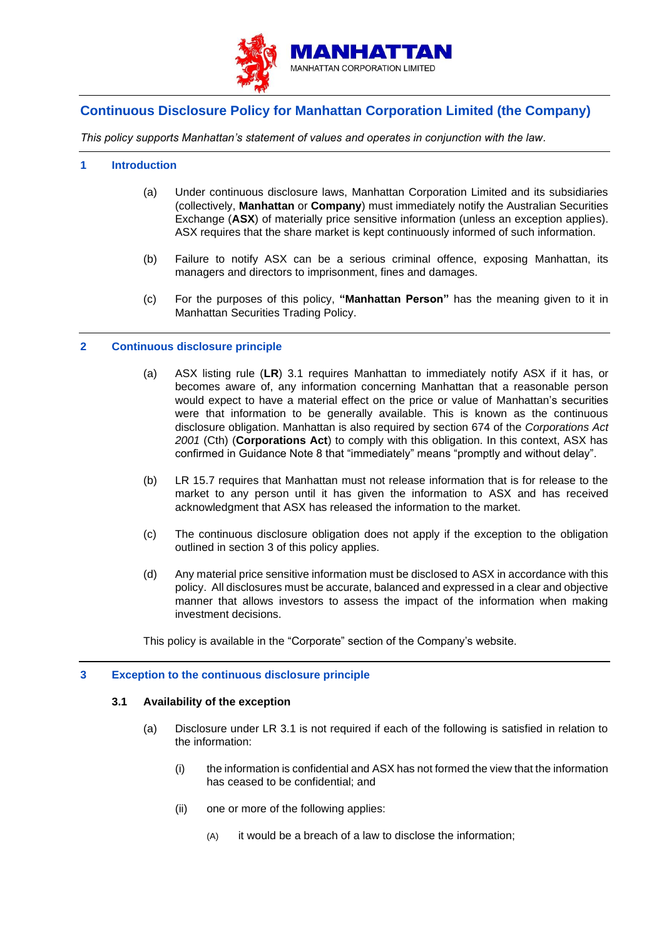

# **Continuous Disclosure Policy for Manhattan Corporation Limited (the Company)**

*This policy supports Manhattan's statement of values and operates in conjunction with the law.*

## **1 Introduction**

- (a) Under continuous disclosure laws, Manhattan Corporation Limited and its subsidiaries (collectively, **Manhattan** or **Company**) must immediately notify the Australian Securities Exchange (**ASX**) of materially price sensitive information (unless an exception applies). ASX requires that the share market is kept continuously informed of such information.
- (b) Failure to notify ASX can be a serious criminal offence, exposing Manhattan, its managers and directors to imprisonment, fines and damages.
- (c) For the purposes of this policy, **"Manhattan Person"** has the meaning given to it in Manhattan Securities Trading Policy.

# **2 Continuous disclosure principle**

- (a) ASX listing rule (**LR**) 3.1 requires Manhattan to immediately notify ASX if it has, or becomes aware of, any information concerning Manhattan that a reasonable person would expect to have a material effect on the price or value of Manhattan's securities were that information to be generally available. This is known as the continuous disclosure obligation. Manhattan is also required by section 674 of the *Corporations Act 2001* (Cth) (**Corporations Act**) to comply with this obligation. In this context, ASX has confirmed in Guidance Note 8 that "immediately" means "promptly and without delay".
- (b) LR 15.7 requires that Manhattan must not release information that is for release to the market to any person until it has given the information to ASX and has received acknowledgment that ASX has released the information to the market.
- (c) The continuous disclosure obligation does not apply if the exception to the obligation outlined in section [3](#page-0-0) of this policy applies.
- (d) Any material price sensitive information must be disclosed to ASX in accordance with this policy. All disclosures must be accurate, balanced and expressed in a clear and objective manner that allows investors to assess the impact of the information when making investment decisions.

This policy is available in the "Corporate" section of the Company's website.

# <span id="page-0-0"></span>**3 Exception to the continuous disclosure principle**

## **3.1 Availability of the exception**

- (a) Disclosure under LR 3.1 is not required if each of the following is satisfied in relation to the information:
	- (i) the information is confidential and ASX has not formed the view that the information has ceased to be confidential; and
	- (ii) one or more of the following applies:
		- (A) it would be a breach of a law to disclose the information;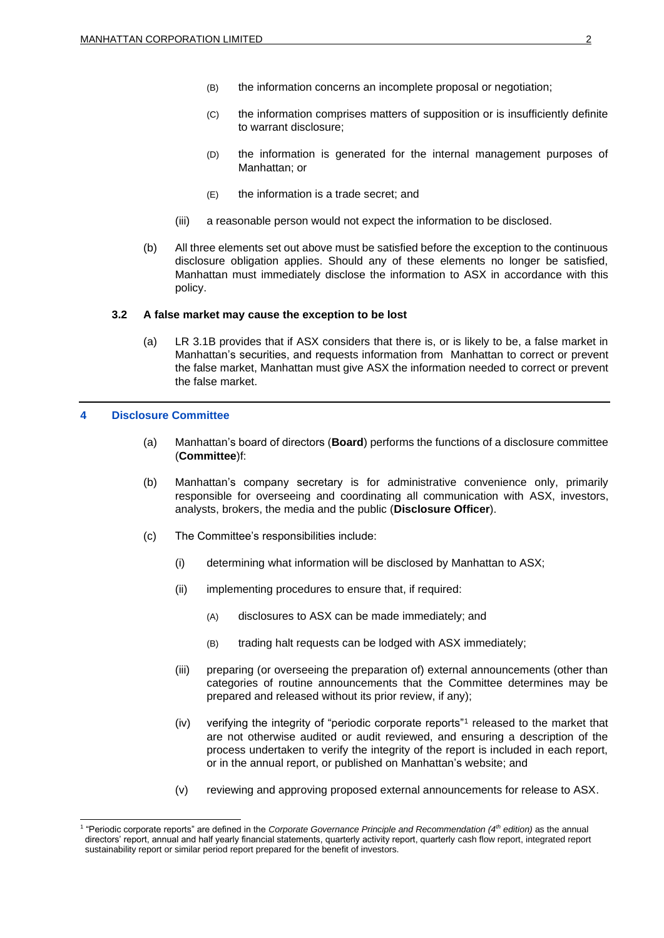- (B) the information concerns an incomplete proposal or negotiation;
- (C) the information comprises matters of supposition or is insufficiently definite to warrant disclosure;
- (D) the information is generated for the internal management purposes of Manhattan; or
- (E) the information is a trade secret; and
- (iii) a reasonable person would not expect the information to be disclosed.
- (b) All three elements set out above must be satisfied before the exception to the continuous disclosure obligation applies. Should any of these elements no longer be satisfied, Manhattan must immediately disclose the information to ASX in accordance with this policy.

#### **3.2 A false market may cause the exception to be lost**

(a) LR 3.1B provides that if ASX considers that there is, or is likely to be, a false market in Manhattan's securities, and requests information from Manhattan to correct or prevent the false market, Manhattan must give ASX the information needed to correct or prevent the false market.

#### <span id="page-1-0"></span>**4 Disclosure Committee**

- (a) Manhattan's board of directors (**Board**) performs the functions of a disclosure committee (**Committee**)f:
- (b) Manhattan's company secretary is for administrative convenience only, primarily responsible for overseeing and coordinating all communication with ASX, investors, analysts, brokers, the media and the public (**Disclosure Officer**).
- (c) The Committee's responsibilities include:
	- (i) determining what information will be disclosed by Manhattan to ASX;
	- (ii) implementing procedures to ensure that, if required:
		- (A) disclosures to ASX can be made immediately; and
		- (B) trading halt requests can be lodged with ASX immediately;
	- (iii) preparing (or overseeing the preparation of) external announcements (other than categories of routine announcements that the Committee determines may be prepared and released without its prior review, if any);
	- (iv) verifying the integrity of "periodic corporate reports"<sup>1</sup> released to the market that are not otherwise audited or audit reviewed, and ensuring a description of the process undertaken to verify the integrity of the report is included in each report, or in the annual report, or published on Manhattan's website; and
	- (v) reviewing and approving proposed external announcements for release to ASX.

<sup>1</sup> "Periodic corporate reports" are defined in the *Corporate Governance Principle and Recommendation (4th edition)* as the annual directors' report, annual and half yearly financial statements, quarterly activity report, quarterly cash flow report, integrated report sustainability report or similar period report prepared for the benefit of investors.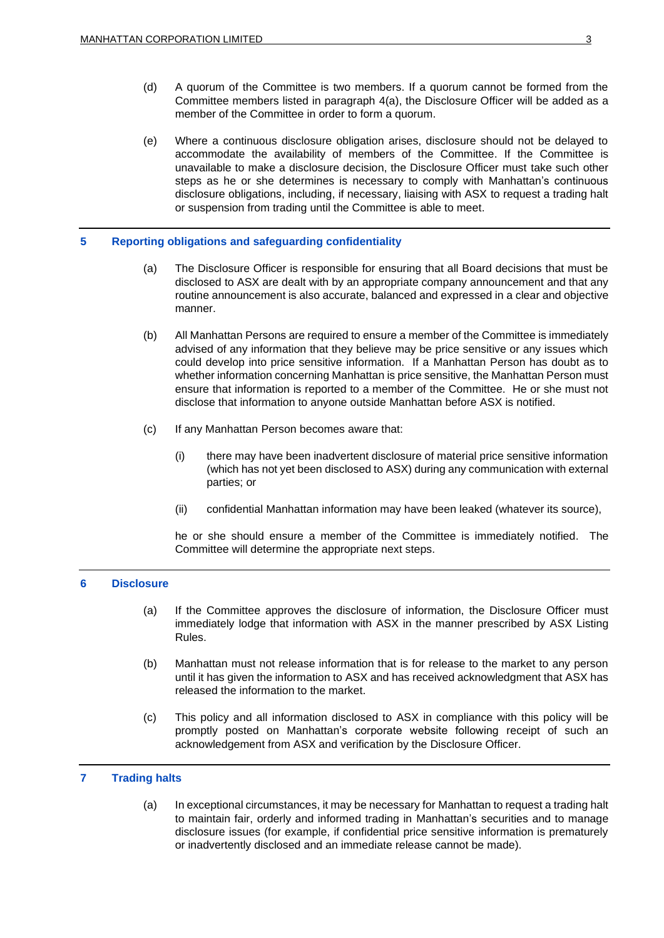- (d) A quorum of the Committee is two members. If a quorum cannot be formed from the Committee members listed in paragraph [4\(a\),](#page-1-0) the Disclosure Officer will be added as a member of the Committee in order to form a quorum.
- <span id="page-2-0"></span>(e) Where a continuous disclosure obligation arises, disclosure should not be delayed to accommodate the availability of members of the Committee. If the Committee is unavailable to make a disclosure decision, the Disclosure Officer must take such other steps as he or she determines is necessary to comply with Manhattan's continuous disclosure obligations, including, if necessary, liaising with ASX to request a trading halt or suspension from trading until the Committee is able to meet.

#### **5 Reporting obligations and safeguarding confidentiality**

- (a) The Disclosure Officer is responsible for ensuring that all Board decisions that must be disclosed to ASX are dealt with by an appropriate company announcement and that any routine announcement is also accurate, balanced and expressed in a clear and objective manner.
- (b) All Manhattan Persons are required to ensure a member of the Committee is immediately advised of any information that they believe may be price sensitive or any issues which could develop into price sensitive information. If a Manhattan Person has doubt as to whether information concerning Manhattan is price sensitive, the Manhattan Person must ensure that information is reported to a member of the Committee. He or she must not disclose that information to anyone outside Manhattan before ASX is notified.
- (c) If any Manhattan Person becomes aware that:
	- (i) there may have been inadvertent disclosure of material price sensitive information (which has not yet been disclosed to ASX) during any communication with external parties; or
	- (ii) confidential Manhattan information may have been leaked (whatever its source),

he or she should ensure a member of the Committee is immediately notified. The Committee will determine the appropriate next steps.

## **6 Disclosure**

- (a) If the Committee approves the disclosure of information, the Disclosure Officer must immediately lodge that information with ASX in the manner prescribed by ASX Listing Rules.
- (b) Manhattan must not release information that is for release to the market to any person until it has given the information to ASX and has received acknowledgment that ASX has released the information to the market.
- (c) This policy and all information disclosed to ASX in compliance with this policy will be promptly posted on Manhattan's corporate website following receipt of such an acknowledgement from ASX and verification by the Disclosure Officer.

# **7 Trading halts**

(a) In exceptional circumstances, it may be necessary for Manhattan to request a trading halt to maintain fair, orderly and informed trading in Manhattan's securities and to manage disclosure issues (for example, if confidential price sensitive information is prematurely or inadvertently disclosed and an immediate release cannot be made).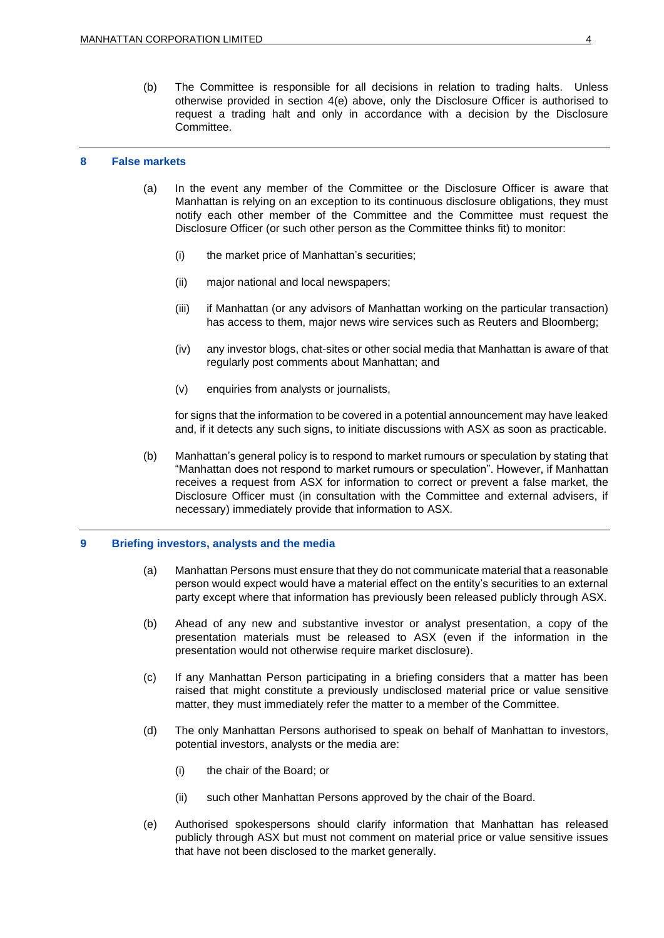(b) The Committee is responsible for all decisions in relation to trading halts. Unless otherwise provided in section [4\(e\)](#page-2-0) above, only the Disclosure Officer is authorised to request a trading halt and only in accordance with a decision by the Disclosure Committee.

#### **8 False markets**

- (a) In the event any member of the Committee or the Disclosure Officer is aware that Manhattan is relying on an exception to its continuous disclosure obligations, they must notify each other member of the Committee and the Committee must request the Disclosure Officer (or such other person as the Committee thinks fit) to monitor:
	- (i) the market price of Manhattan's securities;
	- (ii) major national and local newspapers;
	- (iii) if Manhattan (or any advisors of Manhattan working on the particular transaction) has access to them, major news wire services such as Reuters and Bloomberg;
	- (iv) any investor blogs, chat-sites or other social media that Manhattan is aware of that regularly post comments about Manhattan; and
	- (v) enquiries from analysts or journalists,

for signs that the information to be covered in a potential announcement may have leaked and, if it detects any such signs, to initiate discussions with ASX as soon as practicable.

(b) Manhattan's general policy is to respond to market rumours or speculation by stating that "Manhattan does not respond to market rumours or speculation". However, if Manhattan receives a request from ASX for information to correct or prevent a false market, the Disclosure Officer must (in consultation with the Committee and external advisers, if necessary) immediately provide that information to ASX.

## **9 Briefing investors, analysts and the media**

- (a) Manhattan Persons must ensure that they do not communicate material that a reasonable person would expect would have a material effect on the entity's securities to an external party except where that information has previously been released publicly through ASX.
- (b) Ahead of any new and substantive investor or analyst presentation, a copy of the presentation materials must be released to ASX (even if the information in the presentation would not otherwise require market disclosure).
- (c) If any Manhattan Person participating in a briefing considers that a matter has been raised that might constitute a previously undisclosed material price or value sensitive matter, they must immediately refer the matter to a member of the Committee.
- (d) The only Manhattan Persons authorised to speak on behalf of Manhattan to investors, potential investors, analysts or the media are:
	- (i) the chair of the Board; or
	- (ii) such other Manhattan Persons approved by the chair of the Board.
- (e) Authorised spokespersons should clarify information that Manhattan has released publicly through ASX but must not comment on material price or value sensitive issues that have not been disclosed to the market generally.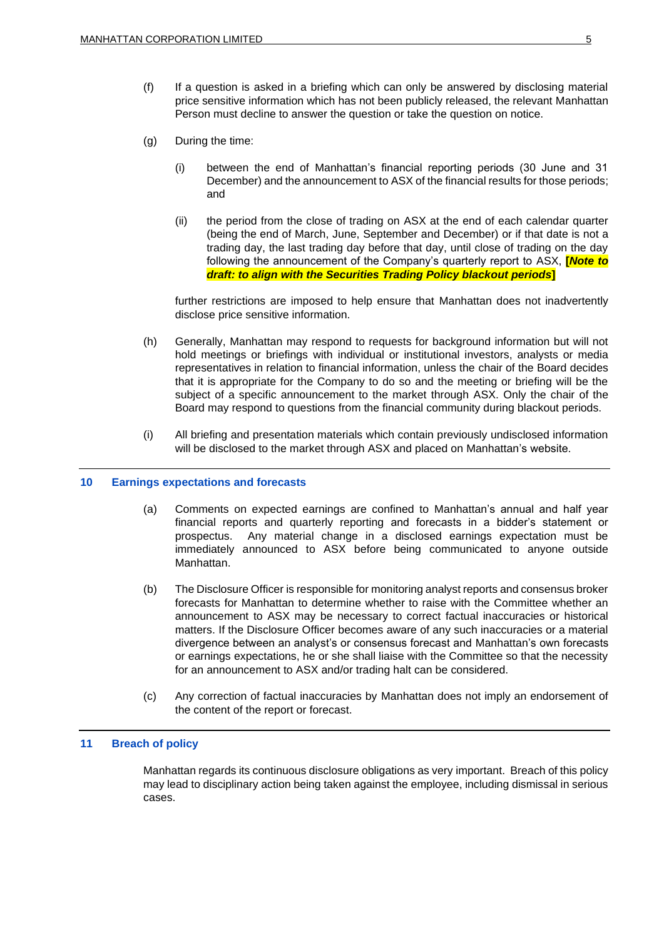- (f) If a question is asked in a briefing which can only be answered by disclosing material price sensitive information which has not been publicly released, the relevant Manhattan Person must decline to answer the question or take the question on notice.
- (g) During the time:
	- (i) between the end of Manhattan's financial reporting periods (30 June and 31 December) and the announcement to ASX of the financial results for those periods; and
	- (ii) the period from the close of trading on ASX at the end of each calendar quarter (being the end of March, June, September and December) or if that date is not a trading day, the last trading day before that day, until close of trading on the day following the announcement of the Company's quarterly report to ASX, **[***Note to draft: to align with the Securities Trading Policy blackout periods***]**

further restrictions are imposed to help ensure that Manhattan does not inadvertently disclose price sensitive information.

- (h) Generally, Manhattan may respond to requests for background information but will not hold meetings or briefings with individual or institutional investors, analysts or media representatives in relation to financial information, unless the chair of the Board decides that it is appropriate for the Company to do so and the meeting or briefing will be the subject of a specific announcement to the market through ASX. Only the chair of the Board may respond to questions from the financial community during blackout periods.
- (i) All briefing and presentation materials which contain previously undisclosed information will be disclosed to the market through ASX and placed on Manhattan's website.

#### **10 Earnings expectations and forecasts**

- (a) Comments on expected earnings are confined to Manhattan's annual and half year financial reports and quarterly reporting and forecasts in a bidder's statement or prospectus. Any material change in a disclosed earnings expectation must be immediately announced to ASX before being communicated to anyone outside Manhattan.
- (b) The Disclosure Officer is responsible for monitoring analyst reports and consensus broker forecasts for Manhattan to determine whether to raise with the Committee whether an announcement to ASX may be necessary to correct factual inaccuracies or historical matters. If the Disclosure Officer becomes aware of any such inaccuracies or a material divergence between an analyst's or consensus forecast and Manhattan's own forecasts or earnings expectations, he or she shall liaise with the Committee so that the necessity for an announcement to ASX and/or trading halt can be considered.
- (c) Any correction of factual inaccuracies by Manhattan does not imply an endorsement of the content of the report or forecast.

### **11 Breach of policy**

Manhattan regards its continuous disclosure obligations as very important. Breach of this policy may lead to disciplinary action being taken against the employee, including dismissal in serious cases.